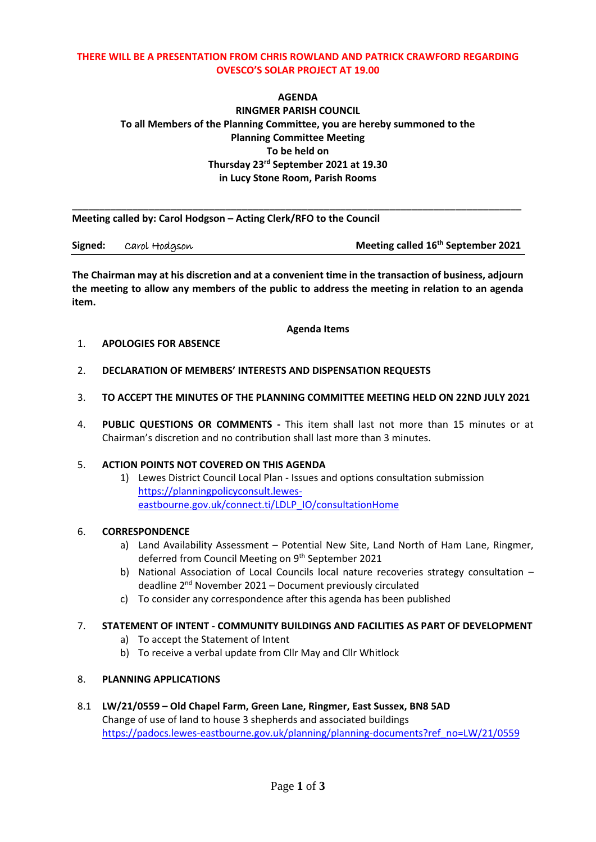### **THERE WILL BE A PRESENTATION FROM CHRIS ROWLAND AND PATRICK CRAWFORD REGARDING OVESCO'S SOLAR PROJECT AT 19.00**

# **AGENDA RINGMER PARISH COUNCIL To all Members of the Planning Committee, you are hereby summoned to the Planning Committee Meeting To be held on Thursday 23 rd September 2021 at 19.30 in Lucy Stone Room, Parish Rooms**

\_\_\_\_\_\_\_\_\_\_\_\_\_\_\_\_\_\_\_\_\_\_\_\_\_\_\_\_\_\_\_\_\_\_\_\_\_\_\_\_\_\_\_\_\_\_\_\_\_\_\_\_\_\_\_\_\_\_\_\_\_\_\_\_\_\_\_\_\_\_\_\_\_\_\_\_\_\_\_\_\_\_ **Meeting called by: Carol Hodgson – Acting Clerk/RFO to the Council**

| Signed: | Carol Hodgson | Meeting called 16 <sup>th</sup> September 2021 |
|---------|---------------|------------------------------------------------|
|---------|---------------|------------------------------------------------|

**The Chairman may at his discretion and at a convenient time in the transaction of business, adjourn the meeting to allow any members of the public to address the meeting in relation to an agenda item.**

**Agenda Items**

### 1. **APOLOGIES FOR ABSENCE**

- 2. **DECLARATION OF MEMBERS' INTERESTS AND DISPENSATION REQUESTS**
- 3. **TO ACCEPT THE MINUTES OF THE PLANNING COMMITTEE MEETING HELD ON 22ND JULY 2021**
- 4. **PUBLIC QUESTIONS OR COMMENTS -** This item shall last not more than 15 minutes or at Chairman's discretion and no contribution shall last more than 3 minutes.

## 5. **ACTION POINTS NOT COVERED ON THIS AGENDA**

1) Lewes District Council Local Plan - Issues and options consultation submission [https://planningpolicyconsult.lewes](https://planningpolicyconsult.lewes-eastbourne.gov.uk/connect.ti/LDLP_IO/consultationHome)[eastbourne.gov.uk/connect.ti/LDLP\\_IO/consultationHome](https://planningpolicyconsult.lewes-eastbourne.gov.uk/connect.ti/LDLP_IO/consultationHome)

#### 6. **CORRESPONDENCE**

- a) Land Availability Assessment Potential New Site, Land North of Ham Lane, Ringmer, deferred from Council Meeting on 9<sup>th</sup> September 2021
- b) National Association of Local Councils local nature recoveries strategy consultation deadline 2nd November 2021 – Document previously circulated
- c) To consider any correspondence after this agenda has been published

## 7. **STATEMENT OF INTENT - COMMUNITY BUILDINGS AND FACILITIES AS PART OF DEVELOPMENT**

- a) To accept the Statement of Intent
- b) To receive a verbal update from Cllr May and Cllr Whitlock

#### 8. **PLANNING APPLICATIONS**

8.1 **LW/21/0559 – Old Chapel Farm, Green Lane, Ringmer, East Sussex, BN8 5AD** Change of use of land to house 3 shepherds and associated buildings [https://padocs.lewes-eastbourne.gov.uk/planning/planning-documents?ref\\_no=LW/21/0559](https://padocs.lewes-eastbourne.gov.uk/planning/planning-documents?ref_no=LW/21/0559)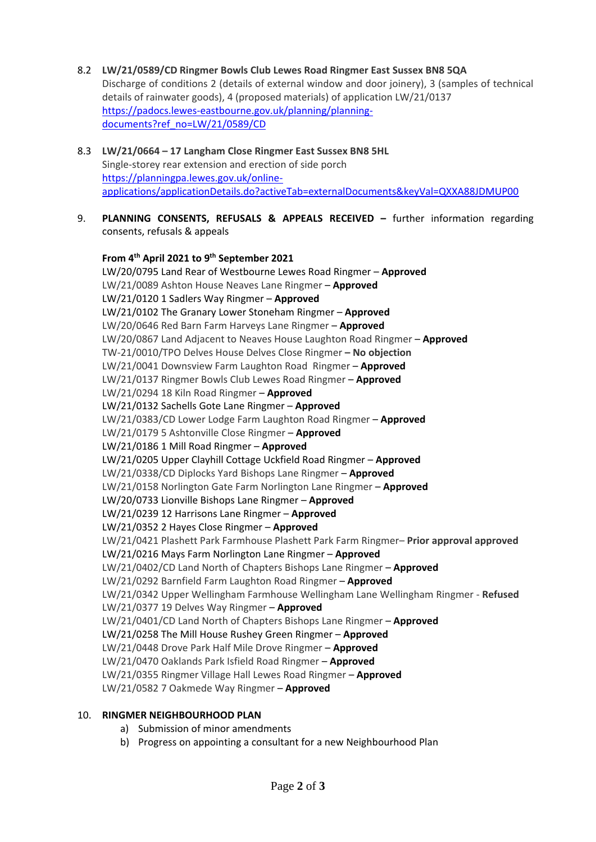- 8.2 **LW/21/0589/CD Ringmer Bowls Club Lewes Road Ringmer East Sussex BN8 5QA** Discharge of conditions 2 (details of external window and door joinery), 3 (samples of technical details of rainwater goods), 4 (proposed materials) of application LW/21/0137 [https://padocs.lewes-eastbourne.gov.uk/planning/planning](https://padocs.lewes-eastbourne.gov.uk/planning/planning-documents?ref_no=LW/21/0589/CD)[documents?ref\\_no=LW/21/0589/CD](https://padocs.lewes-eastbourne.gov.uk/planning/planning-documents?ref_no=LW/21/0589/CD)
- 8.3 **LW/21/0664 – 17 Langham Close Ringmer East Sussex BN8 5HL** Single-storey rear extension and erection of side porch [https://planningpa.lewes.gov.uk/online](https://planningpa.lewes.gov.uk/online-applications/applicationDetails.do?activeTab=externalDocuments&keyVal=QXXA88JDMUP00)[applications/applicationDetails.do?activeTab=externalDocuments&keyVal=QXXA88JDMUP00](https://planningpa.lewes.gov.uk/online-applications/applicationDetails.do?activeTab=externalDocuments&keyVal=QXXA88JDMUP00)
- 9. **PLANNING CONSENTS, REFUSALS & APPEALS RECEIVED –** further information regarding consents, refusals & appeals

**From 4 th April 2021 to 9th September 2021** LW/20/0795 Land Rear of Westbourne Lewes Road Ringmer – **Approved** LW/21/0089 Ashton House Neaves Lane Ringmer – **Approved** LW/21/0120 1 Sadlers Way Ringmer – **Approved** LW/21/0102 The Granary Lower Stoneham Ringmer – **Approved** LW/20/0646 Red Barn Farm Harveys Lane Ringmer – **Approved** LW/20/0867 Land Adjacent to Neaves House Laughton Road Ringmer – **Approved** TW-21/0010/TPO Delves House Delves Close Ringmer **– No objection** LW/21/0041 Downsview Farm Laughton Road Ringmer – **Approved** LW/21/0137 Ringmer Bowls Club Lewes Road Ringmer – **Approved** LW/21/0294 18 Kiln Road Ringmer – **Approved** LW/21/0132 Sachells Gote Lane Ringmer – **Approved** LW/21/0383/CD Lower Lodge Farm Laughton Road Ringmer – **Approved** LW/21/0179 5 Ashtonville Close Ringmer – **Approved** LW/21/0186 1 Mill Road Ringmer – **Approved** LW/21/0205 Upper Clayhill Cottage Uckfield Road Ringmer – **Approved** LW/21/0338/CD Diplocks Yard Bishops Lane Ringmer – **Approved** LW/21/0158 Norlington Gate Farm Norlington Lane Ringmer – **Approved** LW/20/0733 Lionville Bishops Lane Ringmer – **Approved** LW/21/0239 12 Harrisons Lane Ringmer – **Approved** LW/21/0352 2 Hayes Close Ringmer – **Approved** LW/21/0421 Plashett Park Farmhouse Plashett Park Farm Ringmer– **Prior approval approved** LW/21/0216 Mays Farm Norlington Lane Ringmer – **Approved** LW/21/0402/CD Land North of Chapters Bishops Lane Ringmer – **Approved** LW/21/0292 Barnfield Farm Laughton Road Ringmer – **Approved** LW/21/0342 Upper Wellingham Farmhouse Wellingham Lane Wellingham Ringmer - **Refused** LW/21/0377 19 Delves Way Ringmer – **Approved** LW/21/0401/CD Land North of Chapters Bishops Lane Ringmer – **Approved** LW/21/0258 The Mill House Rushey Green Ringmer – **Approved** LW/21/0448 Drove Park Half Mile Drove Ringmer – **Approved** LW/21/0470 Oaklands Park Isfield Road Ringmer – **Approved** LW/21/0355 Ringmer Village Hall Lewes Road Ringmer – **Approved** LW/21/0582 7 Oakmede Way Ringmer – **Approved**

#### 10. **RINGMER NEIGHBOURHOOD PLAN**

- a) Submission of minor amendments
- b) Progress on appointing a consultant for a new Neighbourhood Plan